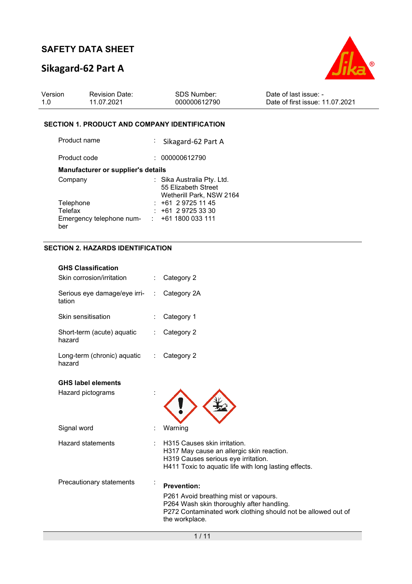# **Sikagard-62 Part A**



| Version | <b>Revision Date:</b> | SDS Number:  | Date of last issue: -           |
|---------|-----------------------|--------------|---------------------------------|
| 1.0     | 11.07.2021            | 000000612790 | Date of first issue: 11.07.2021 |

### **SECTION 1. PRODUCT AND COMPANY IDENTIFICATION**

| Product name                       | : Sikagard-62 Part A                            |
|------------------------------------|-------------------------------------------------|
| Product code                       | 000000612790                                    |
| Manufacturer or supplier's details |                                                 |
| Company                            | : Sika Australia Pty. Ltd.                      |
|                                    | 55 Elizabeth Street<br>Wetherill Park, NSW 2164 |
| Telephone                          | $: +61297251145$                                |
| Telefax                            | $: +61297253330$                                |
| Emergency telephone num-           | : 1611800033111                                 |
| ber                                |                                                 |

### **SECTION 2. HAZARDS IDENTIFICATION**

| <b>GHS Classification</b><br>Skin corrosion/irritation |   | Category 2                                                                                                                                                                                 |
|--------------------------------------------------------|---|--------------------------------------------------------------------------------------------------------------------------------------------------------------------------------------------|
| Serious eye damage/eye irri-<br>tation                 | ÷ | Category 2A                                                                                                                                                                                |
| Skin sensitisation                                     |   | Category 1                                                                                                                                                                                 |
| Short-term (acute) aquatic<br>hazard                   |   | Category 2                                                                                                                                                                                 |
| Long-term (chronic) aquatic<br>hazard                  | ÷ | Category 2                                                                                                                                                                                 |
| <b>GHS label elements</b><br>Hazard pictograms         |   |                                                                                                                                                                                            |
| Signal word                                            |   | Warning                                                                                                                                                                                    |
| <b>Hazard statements</b>                               |   | H315 Causes skin irritation.<br>H317 May cause an allergic skin reaction.<br>H319 Causes serious eye irritation.<br>H411 Toxic to aquatic life with long lasting effects.                  |
| Precautionary statements                               |   | <b>Prevention:</b><br>P261 Avoid breathing mist or vapours.<br>P264 Wash skin thoroughly after handling.<br>P272 Contaminated work clothing should not be allowed out of<br>the workplace. |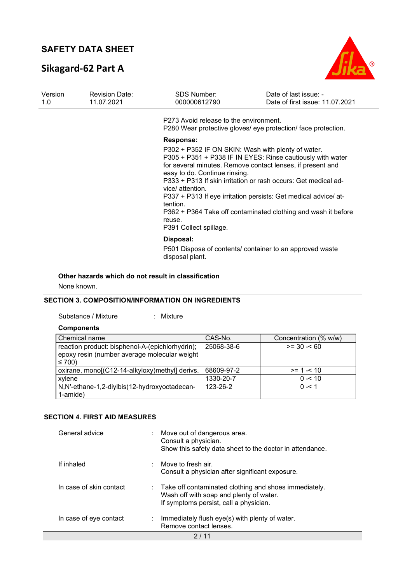# **Sikagard-62 Part A**



| Version<br><b>Revision Date:</b><br>11.07.2021<br>1.0 | <b>SDS Number:</b><br>000000612790 | Date of last issue: -<br>Date of first issue: 11.07.2021                                                                                                                    |                                                                                                                                                                                                                                                                                                                                |
|-------------------------------------------------------|------------------------------------|-----------------------------------------------------------------------------------------------------------------------------------------------------------------------------|--------------------------------------------------------------------------------------------------------------------------------------------------------------------------------------------------------------------------------------------------------------------------------------------------------------------------------|
|                                                       |                                    | P273 Avoid release to the environment.                                                                                                                                      | P280 Wear protective gloves/ eye protection/ face protection.                                                                                                                                                                                                                                                                  |
|                                                       |                                    | <b>Response:</b><br>P302 + P352 IF ON SKIN: Wash with plenty of water.<br>easy to do. Continue rinsing.<br>vice/ attention.<br>tention.<br>reuse.<br>P391 Collect spillage. | P305 + P351 + P338 IF IN EYES: Rinse cautiously with water<br>for several minutes. Remove contact lenses, if present and<br>P333 + P313 If skin irritation or rash occurs: Get medical ad-<br>P337 + P313 If eye irritation persists: Get medical advice/ at-<br>P362 + P364 Take off contaminated clothing and wash it before |
|                                                       |                                    | Disposal:<br>disposal plant.                                                                                                                                                | P501 Dispose of contents/ container to an approved waste                                                                                                                                                                                                                                                                       |

### **Other hazards which do not result in classification**

None known.

### **SECTION 3. COMPOSITION/INFORMATION ON INGREDIENTS**

Substance / Mixture : Mixture :

#### **Components**

**The State** 

| Chemical name                                                                                                 | CAS-No.    | Concentration (% w/w) |
|---------------------------------------------------------------------------------------------------------------|------------|-----------------------|
| reaction product: bisphenol-A-(epichlorhydrin);<br>epoxy resin (number average molecular weight<br>$\leq 700$ | 25068-38-6 | $>= 30 - 60$          |
| oxirane, mono[(C12-14-alkyloxy)methyl] derivs.                                                                | 68609-97-2 | $>= 1 - 10$           |
| xylene                                                                                                        | 1330-20-7  | $0 - 10$              |
| N,N'-ethane-1,2-diylbis(12-hydroxyoctadecan-                                                                  | 123-26-2   | $0 - 51$              |
| 1-amide)                                                                                                      |            |                       |

### **SECTION 4. FIRST AID MEASURES**

| General advice          | ÷. | Move out of dangerous area.<br>Consult a physician.<br>Show this safety data sheet to the doctor in attendance.                              |
|-------------------------|----|----------------------------------------------------------------------------------------------------------------------------------------------|
| If inhaled              |    | Move to fresh air.<br>Consult a physician after significant exposure.                                                                        |
| In case of skin contact |    | : Take off contaminated clothing and shoes immediately.<br>Wash off with soap and plenty of water.<br>If symptoms persist, call a physician. |
| In case of eye contact  | ÷  | Immediately flush eye(s) with plenty of water.<br>Remove contact lenses.                                                                     |
|                         |    | 2 / 11                                                                                                                                       |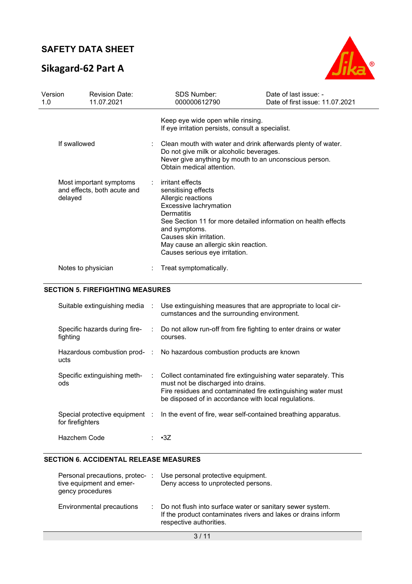# **Sikagard-62 Part A**



| Version<br>1.0 | <b>Revision Date:</b><br>11.07.2021                    | <b>SDS Number:</b><br>000000612790                                                                                                                                                                                              | Date of last issue: -<br>Date of first issue: 11.07.2021                                                               |
|----------------|--------------------------------------------------------|---------------------------------------------------------------------------------------------------------------------------------------------------------------------------------------------------------------------------------|------------------------------------------------------------------------------------------------------------------------|
|                |                                                        | Keep eye wide open while rinsing.<br>If eye irritation persists, consult a specialist.                                                                                                                                          |                                                                                                                        |
| If swallowed   |                                                        | Do not give milk or alcoholic beverages.<br>Obtain medical attention.                                                                                                                                                           | Clean mouth with water and drink afterwards plenty of water.<br>Never give anything by mouth to an unconscious person. |
| delayed        | Most important symptoms<br>and effects, both acute and | $:$ irritant effects<br>sensitising effects<br>Allergic reactions<br>Excessive lachrymation<br>Dermatitis<br>and symptoms.<br>Causes skin irritation.<br>May cause an allergic skin reaction.<br>Causes serious eye irritation. | See Section 11 for more detailed information on health effects                                                         |
|                | Notes to physician                                     | Treat symptomatically.                                                                                                                                                                                                          |                                                                                                                        |

### **SECTION 5. FIREFIGHTING MEASURES**

| Suitable extinguishing media                       | ÷.                            | Use extinguishing measures that are appropriate to local cir-<br>cumstances and the surrounding environment.                                                                                                                  |
|----------------------------------------------------|-------------------------------|-------------------------------------------------------------------------------------------------------------------------------------------------------------------------------------------------------------------------------|
| Specific hazards during fire-<br>fighting          | $\mathcal{L}^{\mathcal{L}}$ . | Do not allow run-off from fire fighting to enter drains or water<br>courses.                                                                                                                                                  |
| ucts                                               |                               | Hazardous combustion prod- : No hazardous combustion products are known                                                                                                                                                       |
| Specific extinguishing meth-<br>ods                | ÷.                            | Collect contaminated fire extinguishing water separately. This<br>must not be discharged into drains.<br>Fire residues and contaminated fire extinguishing water must<br>be disposed of in accordance with local regulations. |
| Special protective equipment :<br>for firefighters |                               | In the event of fire, wear self-contained breathing apparatus.                                                                                                                                                                |
| Hazchem Code                                       |                               | $\cdot$ 3Z                                                                                                                                                                                                                    |

### **SECTION 6. ACCIDENTAL RELEASE MEASURES**

| Personal precautions, protec-<br>tive equipment and emer-<br>gency procedures | Use personal protective equipment.<br>Deny access to unprotected persons.                                                                               |
|-------------------------------------------------------------------------------|---------------------------------------------------------------------------------------------------------------------------------------------------------|
| Environmental precautions                                                     | : Do not flush into surface water or sanitary sewer system.<br>If the product contaminates rivers and lakes or drains inform<br>respective authorities. |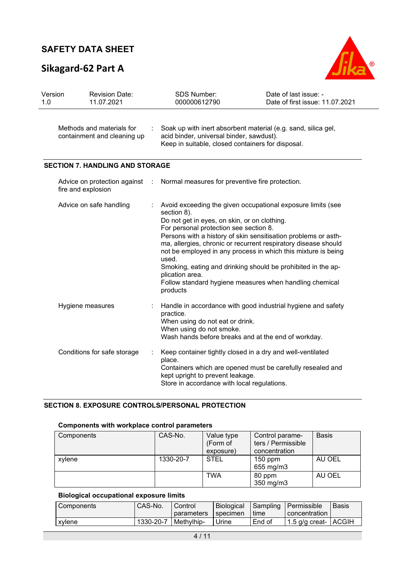# **Sikagard-62 Part A**



| Version<br>1.0 | <b>Revision Date:</b><br>11.07.2021                      | <b>SDS Number:</b><br>000000612790                                                                                                                      | Date of last issue: -<br>Date of first issue: 11.07.2021                                                                                                                                                                                                                                                                                                                                    |
|----------------|----------------------------------------------------------|---------------------------------------------------------------------------------------------------------------------------------------------------------|---------------------------------------------------------------------------------------------------------------------------------------------------------------------------------------------------------------------------------------------------------------------------------------------------------------------------------------------------------------------------------------------|
|                | Methods and materials for<br>containment and cleaning up | acid binder, universal binder, sawdust).<br>Keep in suitable, closed containers for disposal.                                                           | Soak up with inert absorbent material (e.g. sand, silica gel,                                                                                                                                                                                                                                                                                                                               |
|                | <b>SECTION 7. HANDLING AND STORAGE</b>                   |                                                                                                                                                         |                                                                                                                                                                                                                                                                                                                                                                                             |
|                | Advice on protection against<br>fire and explosion       | Normal measures for preventive fire protection.                                                                                                         |                                                                                                                                                                                                                                                                                                                                                                                             |
|                | Advice on safe handling                                  | section 8).<br>Do not get in eyes, on skin, or on clothing.<br>For personal protection see section 8.<br>used.<br>plication area.<br>products           | Avoid exceeding the given occupational exposure limits (see<br>Persons with a history of skin sensitisation problems or asth-<br>ma, allergies, chronic or recurrent respiratory disease should<br>not be employed in any process in which this mixture is being<br>Smoking, eating and drinking should be prohibited in the ap-<br>Follow standard hygiene measures when handling chemical |
|                | Hygiene measures                                         | practice.<br>When using do not eat or drink.<br>When using do not smoke.<br>Wash hands before breaks and at the end of workday.                         | Handle in accordance with good industrial hygiene and safety                                                                                                                                                                                                                                                                                                                                |
|                | Conditions for safe storage                              | Keep container tightly closed in a dry and well-ventilated<br>place.<br>kept upright to prevent leakage.<br>Store in accordance with local regulations. | Containers which are opened must be carefully resealed and                                                                                                                                                                                                                                                                                                                                  |

### **SECTION 8. EXPOSURE CONTROLS/PERSONAL PROTECTION**

### **Components with workplace control parameters**

| Components | CAS-No.   | Value type<br>(Form of<br>exposure) | Control parame-<br>ters / Permissible<br>concentration | <b>Basis</b> |
|------------|-----------|-------------------------------------|--------------------------------------------------------|--------------|
| xvlene     | 1330-20-7 | <b>STEL</b>                         | $150$ ppm<br>655 mg/m3                                 | AU OEL       |
|            |           | TWA                                 | 80 ppm<br>350 mg/m3                                    | AU OEL       |

## **Biological occupational exposure limits**

| l Components | CAS-No.   | Control    | Biological |        | <b>Sampling Permissible</b> | Basis |
|--------------|-----------|------------|------------|--------|-----------------------------|-------|
|              |           | parameters | specimen   | time   | concentration I             |       |
| xylene       | 1330-20-7 | Methylhip- | Jrine      | End of | □ 1.5 g/g creat-   ACGIH    |       |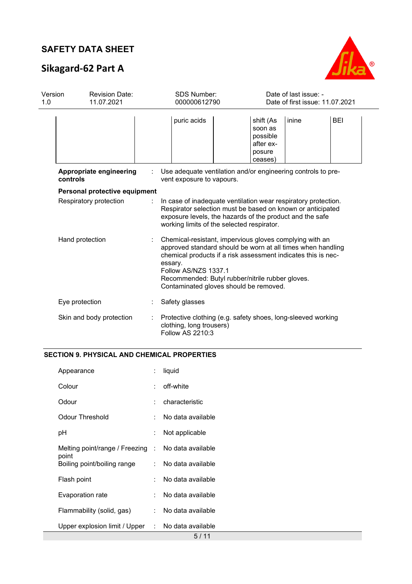# **Sikagard-62 Part A**



| Version<br>1.0 | <b>Revision Date:</b><br>11.07.2021 |  | <b>SDS Number:</b><br>000000612790                                                                                                                                                                                                                                                                                       |                                                                    | Date of last issue: -<br>Date of first issue: 11.07.2021 |            |  |
|----------------|-------------------------------------|--|--------------------------------------------------------------------------------------------------------------------------------------------------------------------------------------------------------------------------------------------------------------------------------------------------------------------------|--------------------------------------------------------------------|----------------------------------------------------------|------------|--|
|                |                                     |  | puric acids                                                                                                                                                                                                                                                                                                              | shift (As<br>soon as<br>possible<br>after ex-<br>posure<br>ceases) | inine                                                    | <b>BEI</b> |  |
|                | Appropriate engineering<br>controls |  | Use adequate ventilation and/or engineering controls to pre-<br>vent exposure to vapours.                                                                                                                                                                                                                                |                                                                    |                                                          |            |  |
|                | Personal protective equipment       |  |                                                                                                                                                                                                                                                                                                                          |                                                                    |                                                          |            |  |
|                | Respiratory protection              |  | In case of inadequate ventilation wear respiratory protection.<br>Respirator selection must be based on known or anticipated<br>exposure levels, the hazards of the product and the safe<br>working limits of the selected respirator.                                                                                   |                                                                    |                                                          |            |  |
|                | Hand protection                     |  | Chemical-resistant, impervious gloves complying with an<br>approved standard should be worn at all times when handling<br>chemical products if a risk assessment indicates this is nec-<br>essary.<br>Follow AS/NZS 1337.1<br>Recommended: Butyl rubber/nitrile rubber gloves.<br>Contaminated gloves should be removed. |                                                                    |                                                          |            |  |
|                | Eye protection                      |  | Safety glasses                                                                                                                                                                                                                                                                                                           |                                                                    |                                                          |            |  |
|                | Skin and body protection            |  | Protective clothing (e.g. safety shoes, long-sleeved working<br>clothing, long trousers)<br>Follow AS 2210:3                                                                                                                                                                                                             |                                                                    |                                                          |            |  |

## **SECTION 9. PHYSICAL AND CHEMICAL PROPERTIES**

| Appearance                                                  | t. | liquid            |
|-------------------------------------------------------------|----|-------------------|
| Colour                                                      |    | off-white         |
| Odour                                                       |    | characteristic    |
| Odour Threshold                                             |    | No data available |
| рH                                                          | ÷. | Not applicable    |
| Melting point/range / Freezing : No data available<br>point |    |                   |
| Boiling point/boiling range                                 |    | No data available |
| Flash point                                                 |    | No data available |
| Evaporation rate                                            |    | No data available |
| Flammability (solid, gas)                                   | t. | No data available |
| Upper explosion limit / Upper                               | t. | No data available |
|                                                             |    | $E$ / 44          |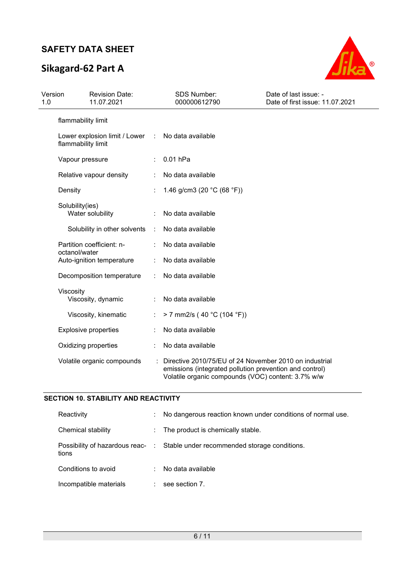# **Sikagard-62 Part A**



| Version<br>1.0 | <b>Revision Date:</b><br>11.07.2021                   |                      | <b>SDS Number:</b><br>000000612790                                                                                                                                      | Date of last issue: -<br>Date of first issue: 11.07.2021 |
|----------------|-------------------------------------------------------|----------------------|-------------------------------------------------------------------------------------------------------------------------------------------------------------------------|----------------------------------------------------------|
|                | flammability limit                                    |                      |                                                                                                                                                                         |                                                          |
|                | Lower explosion limit / Lower :<br>flammability limit |                      | No data available                                                                                                                                                       |                                                          |
|                | Vapour pressure                                       |                      | $0.01$ hPa                                                                                                                                                              |                                                          |
|                | Relative vapour density                               |                      | No data available                                                                                                                                                       |                                                          |
|                | Density                                               |                      | 1.46 g/cm3 (20 $^{\circ}$ C (68 $^{\circ}$ F))                                                                                                                          |                                                          |
|                | Solubility(ies)<br>Water solubility                   |                      | No data available                                                                                                                                                       |                                                          |
|                | Solubility in other solvents                          | $\ddot{\phantom{a}}$ | No data available                                                                                                                                                       |                                                          |
|                | Partition coefficient: n-                             |                      | No data available                                                                                                                                                       |                                                          |
|                | octanol/water<br>Auto-ignition temperature            |                      | No data available                                                                                                                                                       |                                                          |
|                | Decomposition temperature                             |                      | No data available                                                                                                                                                       |                                                          |
|                | Viscosity<br>Viscosity, dynamic                       |                      | No data available                                                                                                                                                       |                                                          |
|                | Viscosity, kinematic                                  |                      | > 7 mm2/s (40 °C (104 °F))                                                                                                                                              |                                                          |
|                | <b>Explosive properties</b>                           |                      | No data available                                                                                                                                                       |                                                          |
|                | Oxidizing properties                                  |                      | No data available                                                                                                                                                       |                                                          |
|                | Volatile organic compounds                            |                      | Directive 2010/75/EU of 24 November 2010 on industrial<br>emissions (integrated pollution prevention and control)<br>Volatile organic compounds (VOC) content: 3.7% w/w |                                                          |

### **SECTION 10. STABILITY AND REACTIVITY**

| Reactivity                                | ÷ | No dangerous reaction known under conditions of normal use. |
|-------------------------------------------|---|-------------------------------------------------------------|
| Chemical stability                        |   | : The product is chemically stable.                         |
| Possibility of hazardous reac- :<br>tions |   | Stable under recommended storage conditions.                |
| Conditions to avoid                       |   | No data available                                           |
| Incompatible materials                    |   | see section 7.                                              |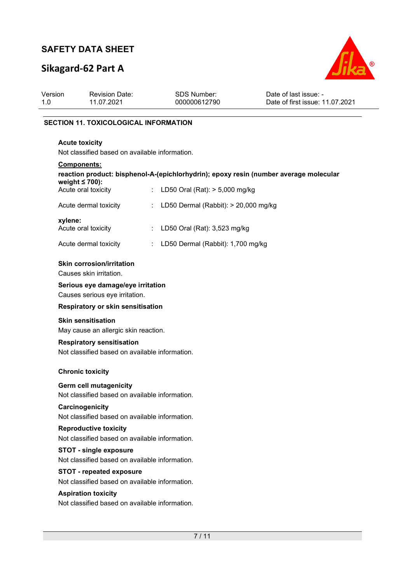# **Sikagard-62 Part A**



| Version<br>1.0 | <b>Revision Date:</b><br>11.07.2021                                                                  |    | <b>SDS Number:</b><br>000000612790   | Date of last issue: -<br>Date of first issue: 11.07.2021 |  |  |  |  |
|----------------|------------------------------------------------------------------------------------------------------|----|--------------------------------------|----------------------------------------------------------|--|--|--|--|
|                | <b>SECTION 11. TOXICOLOGICAL INFORMATION</b>                                                         |    |                                      |                                                          |  |  |  |  |
|                | <b>Acute toxicity</b><br>Not classified based on available information.                              |    |                                      |                                                          |  |  |  |  |
|                | Components:<br>reaction product: bisphenol-A-(epichlorhydrin); epoxy resin (number average molecular |    |                                      |                                                          |  |  |  |  |
|                | weight $\leq 700$ ):<br>Acute oral toxicity                                                          |    | LD50 Oral (Rat): > 5,000 mg/kg       |                                                          |  |  |  |  |
|                | Acute dermal toxicity                                                                                |    | LD50 Dermal (Rabbit): > 20,000 mg/kg |                                                          |  |  |  |  |
|                | xylene:<br>Acute oral toxicity                                                                       | ÷. | LD50 Oral (Rat): 3,523 mg/kg         |                                                          |  |  |  |  |
|                | Acute dermal toxicity                                                                                | ÷  | LD50 Dermal (Rabbit): 1,700 mg/kg    |                                                          |  |  |  |  |
|                | <b>Skin corrosion/irritation</b><br>Causes skin irritation.                                          |    |                                      |                                                          |  |  |  |  |
|                | Serious eye damage/eye irritation<br>Causes serious eye irritation.                                  |    |                                      |                                                          |  |  |  |  |
|                | Respiratory or skin sensitisation                                                                    |    |                                      |                                                          |  |  |  |  |
|                | <b>Skin sensitisation</b><br>May cause an allergic skin reaction.                                    |    |                                      |                                                          |  |  |  |  |
|                | <b>Respiratory sensitisation</b><br>Not classified based on available information.                   |    |                                      |                                                          |  |  |  |  |
|                | <b>Chronic toxicity</b>                                                                              |    |                                      |                                                          |  |  |  |  |
|                | <b>Germ cell mutagenicity</b><br>Not classified based on available information.                      |    |                                      |                                                          |  |  |  |  |
|                | Carcinogenicity<br>Not classified based on available information.                                    |    |                                      |                                                          |  |  |  |  |
|                | <b>Reproductive toxicity</b><br>Not classified based on available information.                       |    |                                      |                                                          |  |  |  |  |
|                | <b>STOT - single exposure</b><br>Not classified based on available information.                      |    |                                      |                                                          |  |  |  |  |
|                | <b>STOT</b> - repeated exposure<br>Not classified based on available information.                    |    |                                      |                                                          |  |  |  |  |
|                | <b>Aspiration toxicity</b><br>Not classified based on available information.                         |    |                                      |                                                          |  |  |  |  |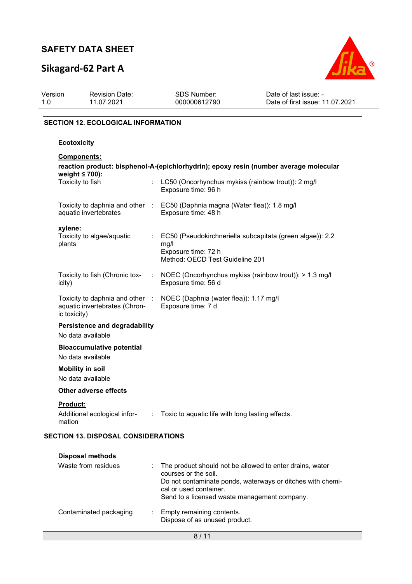# **Sikagard-62 Part A**



| Version | <b>Revision Date:</b> | <b>SDS Number:</b> | Date of last issue: -           |
|---------|-----------------------|--------------------|---------------------------------|
| 1.0     | 11.07.2021            | 000000612790       | Date of first issue: 11.07.2021 |
|         |                       |                    |                                 |

### **SECTION 12. ECOLOGICAL INFORMATION**

### **Ecotoxicity**

| <b>Components:</b>                                                                                            |                  |                                                                                                                               |  |  |
|---------------------------------------------------------------------------------------------------------------|------------------|-------------------------------------------------------------------------------------------------------------------------------|--|--|
| reaction product: bisphenol-A-(epichlorhydrin); epoxy resin (number average molecular<br>weight $\leq 700$ ): |                  |                                                                                                                               |  |  |
| Toxicity to fish                                                                                              | $\mathbb{R}^{n}$ | LC50 (Oncorhynchus mykiss (rainbow trout)): 2 mg/l<br>Exposure time: 96 h                                                     |  |  |
| aquatic invertebrates                                                                                         |                  | Toxicity to daphnia and other : EC50 (Daphnia magna (Water flea)): 1.8 mg/l<br>Exposure time: 48 h                            |  |  |
| xylene:<br>Toxicity to algae/aquatic<br>plants                                                                |                  | : EC50 (Pseudokirchneriella subcapitata (green algae)): 2.2<br>mg/l<br>Exposure time: 72 h<br>Method: OECD Test Guideline 201 |  |  |
| Toxicity to fish (Chronic tox-<br>icity)                                                                      |                  | : NOEC (Oncorhynchus mykiss (rainbow trout)): > 1.3 mg/l<br>Exposure time: 56 d                                               |  |  |
| aquatic invertebrates (Chron-<br>ic toxicity)                                                                 |                  | Toxicity to daphnia and other : NOEC (Daphnia (water flea)): 1.17 mg/l<br>Exposure time: 7 d                                  |  |  |
| Persistence and degradability<br>No data available                                                            |                  |                                                                                                                               |  |  |
| <b>Bioaccumulative potential</b><br>No data available                                                         |                  |                                                                                                                               |  |  |
| <b>Mobility in soil</b><br>No data available                                                                  |                  |                                                                                                                               |  |  |
| <b>Other adverse effects</b>                                                                                  |                  |                                                                                                                               |  |  |
| <b>Product:</b><br>Additional ecological infor-<br>mation                                                     |                  | : Toxic to aquatic life with long lasting effects.                                                                            |  |  |

## **SECTION 13. DISPOSAL CONSIDERATIONS**

| <b>Disposal methods</b> |                                                                                                                                                                                                                          |
|-------------------------|--------------------------------------------------------------------------------------------------------------------------------------------------------------------------------------------------------------------------|
| Waste from residues     | The product should not be allowed to enter drains, water<br>courses or the soil.<br>Do not contaminate ponds, waterways or ditches with chemi-<br>cal or used container.<br>Send to a licensed waste management company. |
| Contaminated packaging  | Empty remaining contents.<br>Dispose of as unused product.                                                                                                                                                               |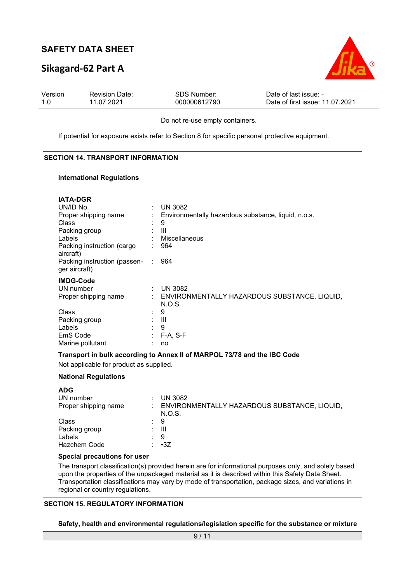## **Sikagard-62 Part A**



| Version | <b>Revision Date:</b> | SDS Number:  | Date of last issue: -           |
|---------|-----------------------|--------------|---------------------------------|
| 1.0     | 11.07.2021            | 000000612790 | Date of first issue: 11.07.2021 |

Do not re-use empty containers.

If potential for exposure exists refer to Section 8 for specific personal protective equipment.

#### **SECTION 14. TRANSPORT INFORMATION**

#### **International Regulations**

| <b>IATA-DGR</b>                               |    |                                                        |
|-----------------------------------------------|----|--------------------------------------------------------|
| UN/ID No.                                     |    | <b>UN 3082</b>                                         |
| Proper shipping name                          |    | Environmentally hazardous substance, liquid, n.o.s.    |
| Class                                         |    | 9                                                      |
| Packing group                                 |    | Ш                                                      |
| Labels                                        |    | Miscellaneous                                          |
| Packing instruction (cargo<br>aircraft)       |    | 964                                                    |
| Packing instruction (passen-<br>ger aircraft) | d. | 964                                                    |
| <b>IMDG-Code</b>                              |    |                                                        |
| UN number                                     |    | <b>UN 3082</b>                                         |
| Proper shipping name                          | t. | ENVIRONMENTALLY HAZARDOUS SUBSTANCE, LIQUID,<br>N.O.S. |
| Class                                         |    | 9                                                      |
| Packing group                                 | ÷  | Ш                                                      |
| Labels                                        |    | 9                                                      |
| EmS Code                                      | ÷  | F-A, S-F                                               |
| Marine pollutant                              |    | no                                                     |

#### **Transport in bulk according to Annex II of MARPOL 73/78 and the IBC Code**

Not applicable for product as supplied.

#### **National Regulations**

| <b>ADG</b>           |    |                                                        |
|----------------------|----|--------------------------------------------------------|
| UN number            |    | <b>UN 3082</b>                                         |
| Proper shipping name |    | ENVIRONMENTALLY HAZARDOUS SUBSTANCE, LIQUID,<br>N.O.S. |
| Class                | ÷. | -9                                                     |
| Packing group        | t. | Ш                                                      |
| Labels               |    | 9                                                      |
| <b>Hazchem Code</b>  |    | $\cdot$ $\cdot$ 3Z                                     |

#### **Special precautions for user**

The transport classification(s) provided herein are for informational purposes only, and solely based upon the properties of the unpackaged material as it is described within this Safety Data Sheet. Transportation classifications may vary by mode of transportation, package sizes, and variations in regional or country regulations.

#### **SECTION 15. REGULATORY INFORMATION**

**Safety, health and environmental regulations/legislation specific for the substance or mixture**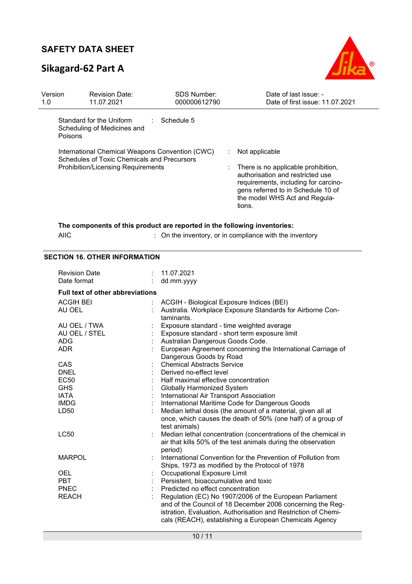# **Sikagard-62 Part A**



| Version<br>1.0 | <b>Revision Date:</b><br>11.07.2021                                                                                                         | <b>SDS Number:</b><br>000000612790        | Date of last issue: -<br>Date of first issue: 11.07.2021                                                                                                                                                                |
|----------------|---------------------------------------------------------------------------------------------------------------------------------------------|-------------------------------------------|-------------------------------------------------------------------------------------------------------------------------------------------------------------------------------------------------------------------------|
|                | Standard for the Uniform<br>Scheduling of Medicines and<br><b>Poisons</b>                                                                   | Schedule 5                                |                                                                                                                                                                                                                         |
|                | International Chemical Weapons Convention (CWC)<br>Schedules of Toxic Chemicals and Precursors<br><b>Prohibition/Licensing Requirements</b> |                                           | Not applicable<br>÷<br>There is no applicable prohibition,<br>authorisation and restricted use<br>requirements, including for carcino-<br>gens referred to in Schedule 10 of<br>the model WHS Act and Regula-<br>tions. |
|                | The components of this product are reported in the following inventories:<br><b>AIIC</b>                                                    |                                           | : On the inventory, or in compliance with the inventory                                                                                                                                                                 |
|                | <b>SECTION 16. OTHER INFORMATION</b>                                                                                                        |                                           |                                                                                                                                                                                                                         |
|                | <b>Revision Date</b>                                                                                                                        | 11.07.2021                                |                                                                                                                                                                                                                         |
|                | Date format<br>t.                                                                                                                           | dd.mm.yyyy                                |                                                                                                                                                                                                                         |
|                |                                                                                                                                             |                                           |                                                                                                                                                                                                                         |
|                | <b>Full text of other abbreviations</b>                                                                                                     |                                           |                                                                                                                                                                                                                         |
|                | <b>ACGIH BEI</b>                                                                                                                            | ACGIH - Biological Exposure Indices (BEI) |                                                                                                                                                                                                                         |
|                | AU OEL                                                                                                                                      |                                           | Australia. Workplace Exposure Standards for Airborne Con-                                                                                                                                                               |
|                |                                                                                                                                             | taminants.                                |                                                                                                                                                                                                                         |
|                | AU OEL / TWA                                                                                                                                | Exposure standard - time weighted average |                                                                                                                                                                                                                         |
|                | AU OEL / STEL<br><b>ADG</b>                                                                                                                 | Australian Dangerous Goods Code.          | Exposure standard - short term exposure limit                                                                                                                                                                           |
|                | <b>ADR</b>                                                                                                                                  |                                           | European Agreement concerning the International Carriage of                                                                                                                                                             |
|                |                                                                                                                                             | Dangerous Goods by Road                   |                                                                                                                                                                                                                         |
|                | CAS                                                                                                                                         | <b>Chemical Abstracts Service</b>         |                                                                                                                                                                                                                         |
|                | <b>DNEL</b>                                                                                                                                 | Derived no-effect level                   |                                                                                                                                                                                                                         |
|                | <b>EC50</b>                                                                                                                                 | Half maximal effective concentration      |                                                                                                                                                                                                                         |
|                | <b>GHS</b>                                                                                                                                  | Globally Harmonized System                |                                                                                                                                                                                                                         |
|                | <b>IATA</b>                                                                                                                                 | International Air Transport Association   |                                                                                                                                                                                                                         |
|                | <b>IMDG</b>                                                                                                                                 |                                           | International Maritime Code for Dangerous Goods                                                                                                                                                                         |
|                | LD50                                                                                                                                        | test animals)                             | Median lethal dosis (the amount of a material, given all at<br>once, which causes the death of 50% (one half) of a group of                                                                                             |
|                | <b>LC50</b>                                                                                                                                 |                                           | Median lethal concentration (concentrations of the chemical in<br>air that kills 50% of the test animals during the observation                                                                                         |
|                |                                                                                                                                             | period)                                   | International Convention for the Prevention of Pollution from                                                                                                                                                           |
|                | <b>MARPOL</b>                                                                                                                               |                                           | Ships, 1973 as modified by the Protocol of 1978                                                                                                                                                                         |
|                | <b>OEL</b>                                                                                                                                  | Occupational Exposure Limit               |                                                                                                                                                                                                                         |
|                | <b>PBT</b>                                                                                                                                  | Persistent, bioaccumulative and toxic     |                                                                                                                                                                                                                         |
|                | <b>PNEC</b>                                                                                                                                 | Predicted no effect concentration         |                                                                                                                                                                                                                         |
|                | <b>REACH</b>                                                                                                                                |                                           | Regulation (EC) No 1907/2006 of the European Parliament                                                                                                                                                                 |
|                |                                                                                                                                             |                                           | and of the Council of 18 December 2006 concerning the Reg-<br>istration, Evaluation, Authorisation and Restriction of Chemi-<br>cals (REACH), establishing a European Chemicals Agency                                  |